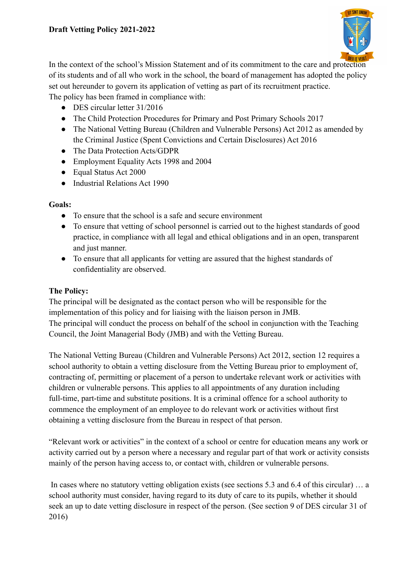

In the context of the school's Mission Statement and of its commitment to the care and protection of its students and of all who work in the school, the board of management has adopted the policy set out hereunder to govern its application of vetting as part of its recruitment practice. The policy has been framed in compliance with:

- DES circular letter 31/2016
- The Child Protection Procedures for Primary and Post Primary Schools 2017
- The National Vetting Bureau (Children and Vulnerable Persons) Act 2012 as amended by the Criminal Justice (Spent Convictions and Certain Disclosures) Act 2016
- The Data Protection Acts/GDPR
- Employment Equality Acts 1998 and 2004
- Equal Status Act 2000
- Industrial Relations Act 1990

## **Goals:**

- To ensure that the school is a safe and secure environment
- To ensure that vetting of school personnel is carried out to the highest standards of good practice, in compliance with all legal and ethical obligations and in an open, transparent and just manner.
- To ensure that all applicants for vetting are assured that the highest standards of confidentiality are observed.

# **The Policy:**

The principal will be designated as the contact person who will be responsible for the implementation of this policy and for liaising with the liaison person in JMB. The principal will conduct the process on behalf of the school in conjunction with the Teaching Council, the Joint Managerial Body (JMB) and with the Vetting Bureau.

The National Vetting Bureau (Children and Vulnerable Persons) Act 2012, section 12 requires a school authority to obtain a vetting disclosure from the Vetting Bureau prior to employment of, contracting of, permitting or placement of a person to undertake relevant work or activities with children or vulnerable persons. This applies to all appointments of any duration including full-time, part-time and substitute positions. It is a criminal offence for a school authority to commence the employment of an employee to do relevant work or activities without first obtaining a vetting disclosure from the Bureau in respect of that person.

"Relevant work or activities" in the context of a school or centre for education means any work or activity carried out by a person where a necessary and regular part of that work or activity consists mainly of the person having access to, or contact with, children or vulnerable persons.

In cases where no statutory vetting obligation exists (see sections 5.3 and 6.4 of this circular) … a school authority must consider, having regard to its duty of care to its pupils, whether it should seek an up to date vetting disclosure in respect of the person. (See section 9 of DES circular 31 of 2016)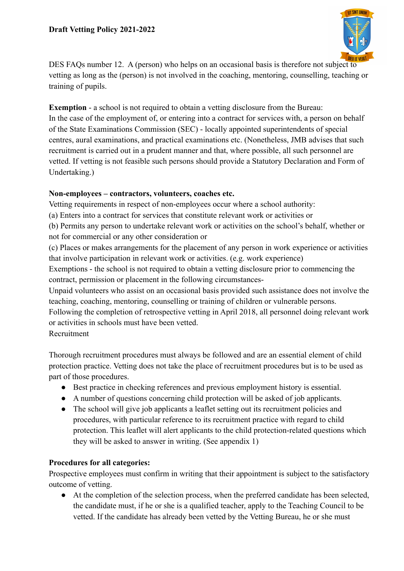

DES FAQs number 12. A (person) who helps on an occasional basis is therefore not subject to vetting as long as the (person) is not involved in the coaching, mentoring, counselling, teaching or training of pupils.

**Exemption** - a school is not required to obtain a vetting disclosure from the Bureau: In the case of the employment of, or entering into a contract for services with, a person on behalf of the State Examinations Commission (SEC) - locally appointed superintendents of special centres, aural examinations, and practical examinations etc. (Nonetheless, JMB advises that such recruitment is carried out in a prudent manner and that, where possible, all such personnel are vetted. If vetting is not feasible such persons should provide a Statutory Declaration and Form of Undertaking.)

## **Non-employees – contractors, volunteers, coaches etc.**

Vetting requirements in respect of non-employees occur where a school authority:

- (a) Enters into a contract for services that constitute relevant work or activities or
- (b) Permits any person to undertake relevant work or activities on the school's behalf, whether or not for commercial or any other consideration or

(c) Places or makes arrangements for the placement of any person in work experience or activities that involve participation in relevant work or activities. (e.g. work experience)

Exemptions - the school is not required to obtain a vetting disclosure prior to commencing the contract, permission or placement in the following circumstances-

Unpaid volunteers who assist on an occasional basis provided such assistance does not involve the teaching, coaching, mentoring, counselling or training of children or vulnerable persons.

Following the completion of retrospective vetting in April 2018, all personnel doing relevant work or activities in schools must have been vetted.

Recruitment

Thorough recruitment procedures must always be followed and are an essential element of child protection practice. Vetting does not take the place of recruitment procedures but is to be used as part of those procedures.

- Best practice in checking references and previous employment history is essential.
- A number of questions concerning child protection will be asked of job applicants.
- The school will give job applicants a leaflet setting out its recruitment policies and procedures, with particular reference to its recruitment practice with regard to child protection. This leaflet will alert applicants to the child protection-related questions which they will be asked to answer in writing. (See appendix 1)

# **Procedures for all categories:**

Prospective employees must confirm in writing that their appointment is subject to the satisfactory outcome of vetting.

● At the completion of the selection process, when the preferred candidate has been selected, the candidate must, if he or she is a qualified teacher, apply to the Teaching Council to be vetted. If the candidate has already been vetted by the Vetting Bureau, he or she must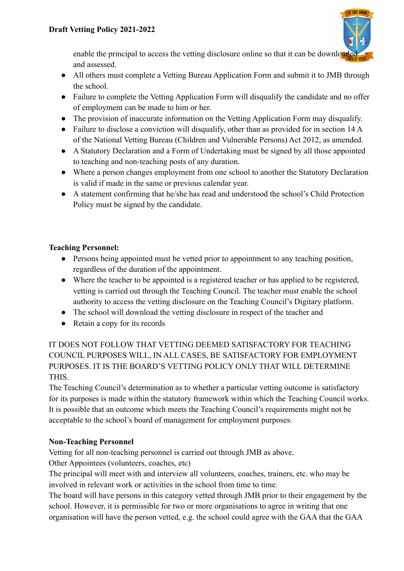

enable the principal to access the vetting disclosure online so that it can be download and assessed.

- All others must complete a Vetting Bureau Application Form and submit it to JMB through the school.
- Failure to complete the Vetting Application Form will disqualify the candidate and no offer of employment can be made to him or her.
- The provision of inaccurate information on the Vetting Application Form may disqualify.
- Failure to disclose a conviction will disqualify, other than as provided for in section 14 A of the National Vetting Bureau (Children and Vulnerable Persons) Act 2012, as amended.
- A Statutory Declaration and a Form of Undertaking must be signed by all those appointed to teaching and non-teaching posts of any duration.
- Where a person changes employment from one school to another the Statutory Declaration is valid if made in the same or previous calendar year.
- A statement confirming that he/she has read and understood the school's Child Protection Policy must be signed by the candidate.

## **Teaching Personnel:**

- Persons being appointed must be vetted prior to appointment to any teaching position, regardless of the duration of the appointment.
- Where the teacher to be appointed is a registered teacher or has applied to be registered, vetting is carried out through the Teaching Council. The teacher must enable the school authority to access the vetting disclosure on the Teaching Council's Digitary platform.
- The school will download the vetting disclosure in respect of the teacher and
- Retain a copy for its records

# IT DOES NOT FOLLOW THAT VETTING DEEMED SATISFACTORY FOR TEACHING COUNCIL PURPOSES WILL, IN ALL CASES, BE SATISFACTORY FOR EMPLOYMENT PURPOSES. IT IS THE BOARD'S VETTING POLICY ONLY THAT WILL DETERMINE THIS.

The Teaching Council's determination as to whether a particular vetting outcome is satisfactory for its purposes is made within the statutory framework within which the Teaching Council works. It is possible that an outcome which meets the Teaching Council's requirements might not be acceptable to the school's board of management for employment purposes.

# **Non-Teaching Personnel**

Vetting for all non-teaching personnel is carried out through JMB as above.

Other Appointees (volunteers, coaches, etc)

The principal will meet with and interview all volunteers, coaches, trainers, etc. who may be involved in relevant work or activities in the school from time to time.

The board will have persons in this category vetted through JMB prior to their engagement by the school. However, it is permissible for two or more organisations to agree in writing that one organisation will have the person vetted, e.g. the school could agree with the GAA that the GAA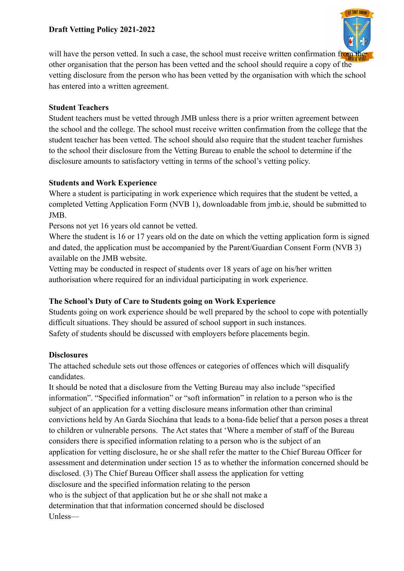### **Draft Vetting Policy 2021-2022**



will have the person vetted. In such a case, the school must receive written confirmation from other organisation that the person has been vetted and the school should require a copy of the vetting disclosure from the person who has been vetted by the organisation with which the school has entered into a written agreement.

#### **Student Teachers**

Student teachers must be vetted through JMB unless there is a prior written agreement between the school and the college. The school must receive written confirmation from the college that the student teacher has been vetted. The school should also require that the student teacher furnishes to the school their disclosure from the Vetting Bureau to enable the school to determine if the disclosure amounts to satisfactory vetting in terms of the school's vetting policy.

#### **Students and Work Experience**

Where a student is participating in work experience which requires that the student be vetted, a completed Vetting Application Form (NVB 1), downloadable from jmb.ie, should be submitted to JMB.

Persons not yet 16 years old cannot be vetted.

Where the student is 16 or 17 years old on the date on which the vetting application form is signed and dated, the application must be accompanied by the Parent/Guardian Consent Form (NVB 3) available on the JMB website.

Vetting may be conducted in respect of students over 18 years of age on his/her written authorisation where required for an individual participating in work experience.

### **The School's Duty of Care to Students going on Work Experience**

Students going on work experience should be well prepared by the school to cope with potentially difficult situations. They should be assured of school support in such instances. Safety of students should be discussed with employers before placements begin.

#### **Disclosures**

The attached schedule sets out those offences or categories of offences which will disqualify candidates.

It should be noted that a disclosure from the Vetting Bureau may also include "specified information". "Specified information" or "soft information" in relation to a person who is the subject of an application for a vetting disclosure means information other than criminal convictions held by An Garda Síochána that leads to a bona-fide belief that a person poses a threat to children or vulnerable persons. The Act states that 'Where a member of staff of the Bureau considers there is specified information relating to a person who is the subject of an application for vetting disclosure, he or she shall refer the matter to the Chief Bureau Officer for assessment and determination under section 15 as to whether the information concerned should be disclosed. (3) The Chief Bureau Officer shall assess the application for vetting disclosure and the specified information relating to the person who is the subject of that application but he or she shall not make a determination that that information concerned should be disclosed Unless—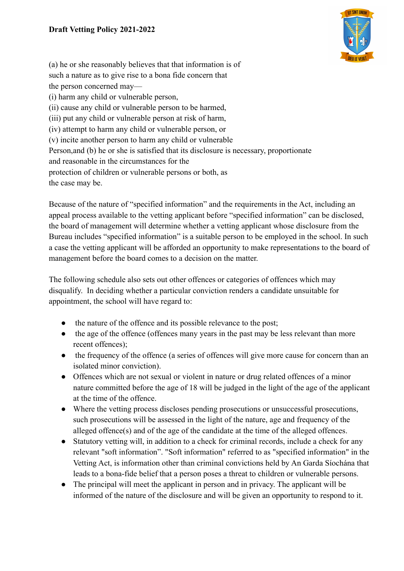

(a) he or she reasonably believes that that information is of such a nature as to give rise to a bona fide concern that the person concerned may— (i) harm any child or vulnerable person, (ii) cause any child or vulnerable person to be harmed, (iii) put any child or vulnerable person at risk of harm, (iv) attempt to harm any child or vulnerable person, or (v) incite another person to harm any child or vulnerable Person,and (b) he or she is satisfied that its disclosure is necessary, proportionate and reasonable in the circumstances for the protection of children or vulnerable persons or both, as the case may be.

Because of the nature of "specified information" and the requirements in the Act, including an appeal process available to the vetting applicant before "specified information" can be disclosed, the board of management will determine whether a vetting applicant whose disclosure from the Bureau includes "specified information" is a suitable person to be employed in the school. In such a case the vetting applicant will be afforded an opportunity to make representations to the board of management before the board comes to a decision on the matter.

The following schedule also sets out other offences or categories of offences which may disqualify. In deciding whether a particular conviction renders a candidate unsuitable for appointment, the school will have regard to:

- the nature of the offence and its possible relevance to the post;
- the age of the offence (offences many years in the past may be less relevant than more recent offences);
- the frequency of the offence (a series of offences will give more cause for concern than an isolated minor conviction).
- Offences which are not sexual or violent in nature or drug related offences of a minor nature committed before the age of 18 will be judged in the light of the age of the applicant at the time of the offence.
- Where the vetting process discloses pending prosecutions or unsuccessful prosecutions, such prosecutions will be assessed in the light of the nature, age and frequency of the alleged offence(s) and of the age of the candidate at the time of the alleged offences.
- Statutory vetting will, in addition to a check for criminal records, include a check for any relevant "soft information". "Soft information" referred to as "specified information" in the Vetting Act, is information other than criminal convictions held by An Garda Síochána that leads to a bona-fide belief that a person poses a threat to children or vulnerable persons.
- The principal will meet the applicant in person and in privacy. The applicant will be informed of the nature of the disclosure and will be given an opportunity to respond to it.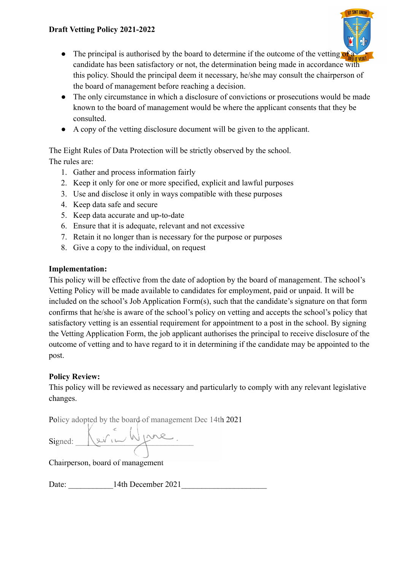

- $\bullet$  The principal is authorised by the board to determine if the outcome of the vetting of candidate has been satisfactory or not, the determination being made in accordance with this policy. Should the principal deem it necessary, he/she may consult the chairperson of the board of management before reaching a decision.
- The only circumstance in which a disclosure of convictions or prosecutions would be made known to the board of management would be where the applicant consents that they be consulted.
- A copy of the vetting disclosure document will be given to the applicant.

The Eight Rules of Data Protection will be strictly observed by the school. The rules are:

- 1. Gather and process information fairly
- 2. Keep it only for one or more specified, explicit and lawful purposes
- 3. Use and disclose it only in ways compatible with these purposes
- 4. Keep data safe and secure
- 5. Keep data accurate and up-to-date
- 6. Ensure that it is adequate, relevant and not excessive
- 7. Retain it no longer than is necessary for the purpose or purposes
- 8. Give a copy to the individual, on request

### **Implementation:**

This policy will be effective from the date of adoption by the board of management. The school's Vetting Policy will be made available to candidates for employment, paid or unpaid. It will be included on the school's Job Application Form(s), such that the candidate's signature on that form confirms that he/she is aware of the school's policy on vetting and accepts the school's policy that satisfactory vetting is an essential requirement for appointment to a post in the school. By signing the Vetting Application Form, the job applicant authorises the principal to receive disclosure of the outcome of vetting and to have regard to it in determining if the candidate may be appointed to the post.

# **Policy Review:**

This policy will be reviewed as necessary and particularly to comply with any relevant legislative changes.

Policy adopted by the board of management Dec 14th 2021

Signed: Kein Wjane

Chairperson, board of management

Date: l4th December 2021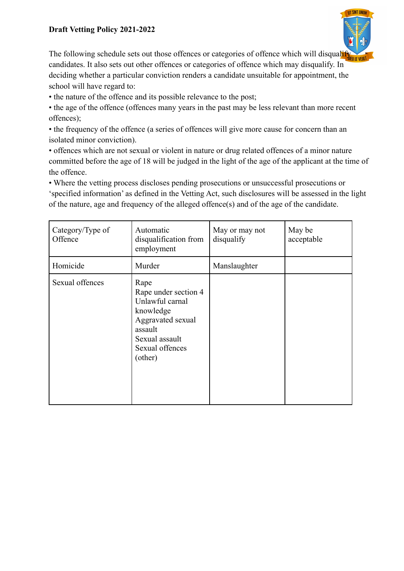### **Draft Vetting Policy 2021-2022**



The following schedule sets out those offences or categories of offence which will disqualify candidates. It also sets out other offences or categories of offence which may disqualify. In deciding whether a particular conviction renders a candidate unsuitable for appointment, the school will have regard to:

• the nature of the offence and its possible relevance to the post;

• the age of the offence (offences many years in the past may be less relevant than more recent offences);

• the frequency of the offence (a series of offences will give more cause for concern than an isolated minor conviction).

• offences which are not sexual or violent in nature or drug related offences of a minor nature committed before the age of 18 will be judged in the light of the age of the applicant at the time of the offence.

• Where the vetting process discloses pending prosecutions or unsuccessful prosecutions or 'specified information' as defined in the Vetting Act, such disclosures will be assessed in the light of the nature, age and frequency of the alleged offence(s) and of the age of the candidate.

| Category/Type of<br>Offence | Automatic<br>disqualification from<br>employment                                                                                             | May or may not<br>disqualify | May be<br>acceptable |
|-----------------------------|----------------------------------------------------------------------------------------------------------------------------------------------|------------------------------|----------------------|
| Homicide                    | Murder                                                                                                                                       | Manslaughter                 |                      |
| Sexual offences             | Rape<br>Rape under section 4<br>Unlawful carnal<br>knowledge<br>Aggravated sexual<br>assault<br>Sexual assault<br>Sexual offences<br>(other) |                              |                      |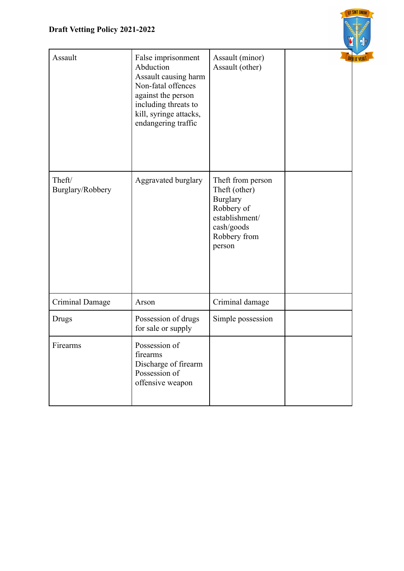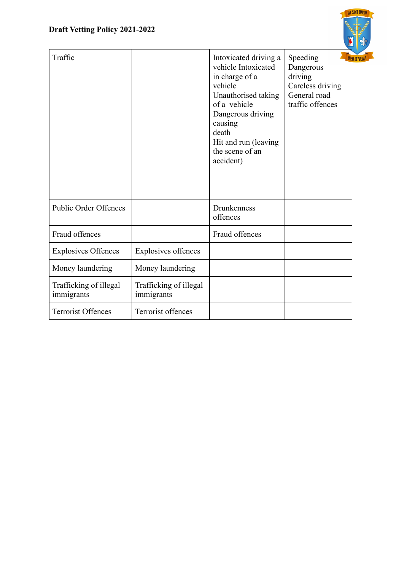

**NT SINT UNIA**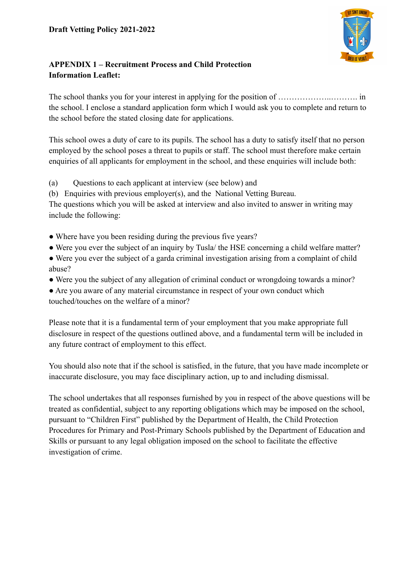

# **APPENDIX 1 – Recruitment Process and Child Protection Information Leaflet:**

The school thanks you for your interest in applying for the position of ………………..………. in the school. I enclose a standard application form which I would ask you to complete and return to the school before the stated closing date for applications.

This school owes a duty of care to its pupils. The school has a duty to satisfy itself that no person employed by the school poses a threat to pupils or staff. The school must therefore make certain enquiries of all applicants for employment in the school, and these enquiries will include both:

(a) Ouestions to each applicant at interview (see below) and

(b) Enquiries with previous employer(s), and the National Vetting Bureau.

The questions which you will be asked at interview and also invited to answer in writing may include the following:

- Where have you been residing during the previous five years?
- Were you ever the subject of an inquiry by Tusla/ the HSE concerning a child welfare matter?
- Were you ever the subject of a garda criminal investigation arising from a complaint of child abuse?
- Were you the subject of any allegation of criminal conduct or wrongdoing towards a minor?
- Are you aware of any material circumstance in respect of your own conduct which touched/touches on the welfare of a minor?

Please note that it is a fundamental term of your employment that you make appropriate full disclosure in respect of the questions outlined above, and a fundamental term will be included in any future contract of employment to this effect.

You should also note that if the school is satisfied, in the future, that you have made incomplete or inaccurate disclosure, you may face disciplinary action, up to and including dismissal.

The school undertakes that all responses furnished by you in respect of the above questions will be treated as confidential, subject to any reporting obligations which may be imposed on the school, pursuant to "Children First" published by the Department of Health, the Child Protection Procedures for Primary and Post-Primary Schools published by the Department of Education and Skills or pursuant to any legal obligation imposed on the school to facilitate the effective investigation of crime.